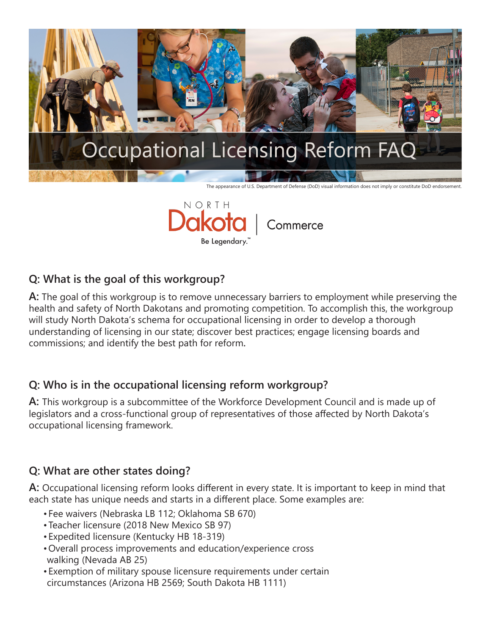



## **Q: What is the goal of this workgroup?**

**A:** The goal of this workgroup is to remove unnecessary barriers to employment while preserving the health and safety of North Dakotans and promoting competition. To accomplish this, the workgroup will study North Dakota's schema for occupational licensing in order to develop a thorough understanding of licensing in our state; discover best practices; engage licensing boards and commissions; and identify the best path for reform**.** 

## **Q: Who is in the occupational licensing reform workgroup?**

**A:** This workgroup is a subcommittee of the Workforce Development Council and is made up of legislators and a cross-functional group of representatives of those affected by North Dakota's occupational licensing framework.

# **Q: What are other states doing?**

**A:** Occupational licensing reform looks different in every state. It is important to keep in mind that each state has unique needs and starts in a different place. Some examples are:

- • Fee waivers (Nebraska LB 112; Oklahoma SB 670)
- • Teacher licensure (2018 New Mexico SB 97)
- • Expedited licensure (Kentucky HB 18-319)
- • Overall process improvements and education/experience cross walking (Nevada AB 25)
- • Exemption of military spouse licensure requirements under certain circumstances (Arizona HB 2569; South Dakota HB 1111)